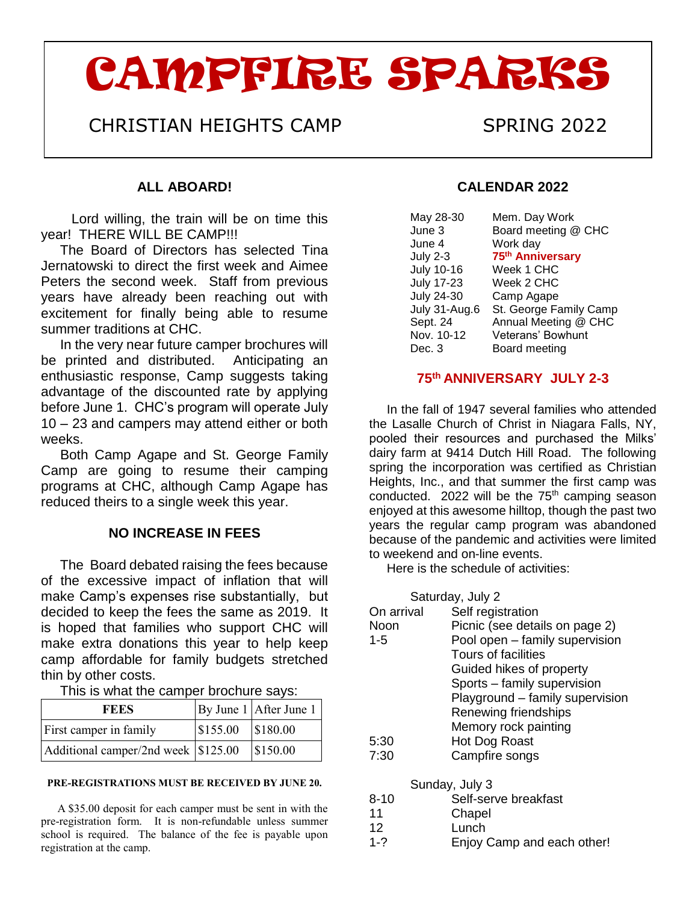# CAMPFIRE SPARKS

## CHRISTIAN HEIGHTS CAMP SPRING 2022

#### **ALL ABOARD!**

Lord willing, the train will be on time this year! THERE WILL BE CAMP!!!

 The Board of Directors has selected Tina Jernatowski to direct the first week and Aimee Peters the second week. Staff from previous years have already been reaching out with excitement for finally being able to resume summer traditions at CHC.

 In the very near future camper brochures will be printed and distributed. Anticipating an enthusiastic response, Camp suggests taking advantage of the discounted rate by applying before June 1. CHC's program will operate July 10 – 23 and campers may attend either or both weeks.

 Both Camp Agape and St. George Family Camp are going to resume their camping programs at CHC, although Camp Agape has reduced theirs to a single week this year.

#### **NO INCREASE IN FEES**

 The Board debated raising the fees because of the excessive impact of inflation that will make Camp's expenses rise substantially, but decided to keep the fees the same as 2019. It is hoped that families who support CHC will make extra donations this year to help keep camp affordable for family budgets stretched thin by other costs.

| This is what the camper brochure says: |  |  |  |  |  |
|----------------------------------------|--|--|--|--|--|
|                                        |  |  |  |  |  |

| <b>FEES</b>                           |                                   | By June $1$ After June 1 |
|---------------------------------------|-----------------------------------|--------------------------|
| First camper in family                | $\vert$ \$155.00 $\vert$ \$180.00 |                          |
| Additional camper/2nd week \\\$125.00 |                                   | \$150.00                 |

#### **PRE-REGISTRATIONS MUST BE RECEIVED BY JUNE 20.**

 A \$35.00 deposit for each camper must be sent in with the pre-registration form. It is non-refundable unless summer school is required. The balance of the fee is payable upon registration at the camp.

#### **CALENDAR 2022**

| May 28-30         | Mem. Day Work                |
|-------------------|------------------------------|
| June 3            |                              |
|                   | Board meeting @ CHC          |
| June 4            | Work day                     |
| <b>July 2-3</b>   | 75 <sup>th</sup> Anniversary |
| <b>July 10-16</b> | Week 1 CHC                   |
| <b>July 17-23</b> | Week 2 CHC                   |
| <b>July 24-30</b> | Camp Agape                   |
| July 31-Aug.6     | St. George Family Camp       |
| Sept. 24          | Annual Meeting @ CHC         |
| Nov. 10-12        | <b>Veterans' Bowhunt</b>     |
| Dec. 3            | Board meeting                |

#### **75th ANNIVERSARY JULY 2-3**

 In the fall of 1947 several families who attended the Lasalle Church of Christ in Niagara Falls, NY, pooled their resources and purchased the Milks' dairy farm at 9414 Dutch Hill Road. The following spring the incorporation was certified as Christian Heights, Inc., and that summer the first camp was conducted. 2022 will be the  $75<sup>th</sup>$  camping season enjoyed at this awesome hilltop, though the past two years the regular camp program was abandoned because of the pandemic and activities were limited to weekend and on-line events.

Here is the schedule of activities:

|            | Saturday, July 2                |
|------------|---------------------------------|
| On arrival | Self registration               |
| Noon       | Picnic (see details on page 2)  |
| 1-5        | Pool open - family supervision  |
|            | Tours of facilities             |
|            | Guided hikes of property        |
|            | Sports - family supervision     |
|            | Playground – family supervision |
|            | Renewing friendships            |
|            | Memory rock painting            |
| 5:30       | Hot Dog Roast                   |
| 7:30       | Campfire songs                  |
|            | Sunday, July 3                  |
| ດ ⊿ ∩      | الممكناه معط منعمم المث         |

| $8 - 10$ | Self-serve breakfast |  |
|----------|----------------------|--|
|          |                      |  |

- 11 Chapel
- 12 Lunch<br>1-? Eniov
- Enjoy Camp and each other!